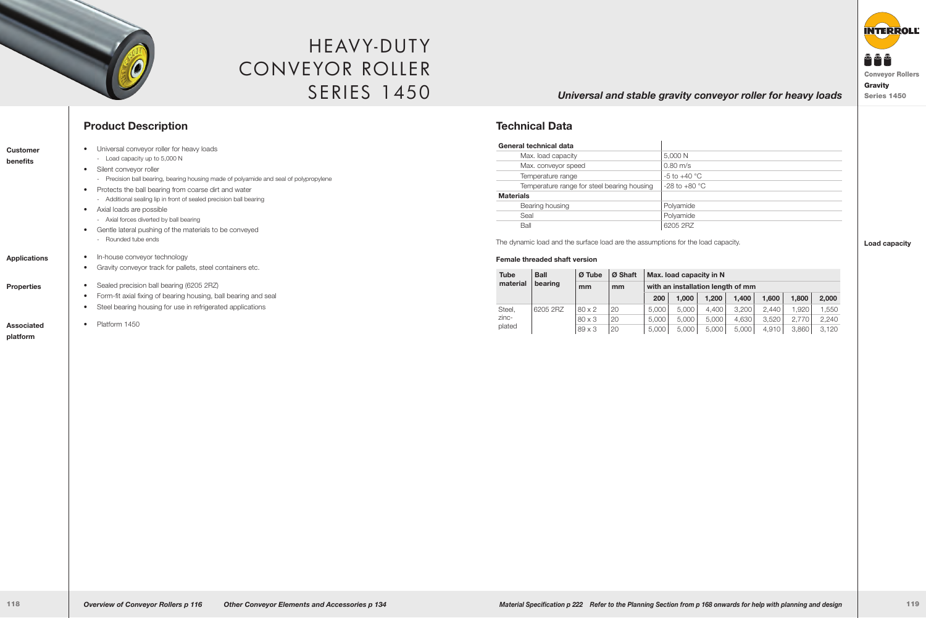

# HEAVY-DUTY Conveyor Roller **SERIES 1450**

## *Universal and stable gravity conveyor roller for heavy loads* Series 1450

**Technical Data**

|          |               |     |  |  |  |  |  | $200$   1,000   1,200   1,400   1,600   1,800   2,000 |  |
|----------|---------------|-----|--|--|--|--|--|-------------------------------------------------------|--|
| 6205 2RZ | 80 x 2        | 20  |  |  |  |  |  | 5.000 5.000 4.400 3.200 2.440 1.920 1.550             |  |
|          | $80 \times 3$ | 120 |  |  |  |  |  | 5,000   5,000   5,000   4,630   3,520   2,770   2,240 |  |
|          | 189 x 3       | 120 |  |  |  |  |  | 5,000   5,000   5,000   5,000   4,910   3,860   3,120 |  |

#### **Load capacity**

# **Product Description**

| <b>Customer</b>     | Universal conveyor roller for heavy loads                                                  | General technical data                                |
|---------------------|--------------------------------------------------------------------------------------------|-------------------------------------------------------|
|                     | - Load capacity up to 5,000 N                                                              | Max. load capacity                                    |
| benefits            | Silent conveyor roller<br>$\bullet$                                                        | Max. conveyor speed                                   |
|                     | - Precision ball bearing, bearing housing made of polyamide and seal of polypropylene      | Temperature range                                     |
|                     | Protects the ball bearing from coarse dirt and water<br>$\bullet$                          | Temperature range for steel bearing h                 |
|                     | - Additional sealing lip in front of sealed precision ball bearing                         | <b>Materials</b>                                      |
|                     | Axial loads are possible<br>$\bullet$                                                      | Bearing housing                                       |
|                     | - Axial forces diverted by ball bearing                                                    | Seal                                                  |
|                     | Gentle lateral pushing of the materials to be conveyed<br>$\bullet$<br>- Rounded tube ends | Ball<br>The dynamic load and the surface load are the |
| <b>Applications</b> | In-house conveyor technology                                                               | <b>Female threaded shaft version</b>                  |
|                     | Gravity conveyor track for pallets, steel containers etc.                                  | Ø Tube<br>Ø Sha<br><b>Ball</b><br><b>Tube</b>         |
| <b>Properties</b>   | Sealed precision ball bearing (6205 2RZ)<br>$\bullet$                                      | material<br>bearing<br>m <sub>m</sub><br>mm           |
|                     | Form-fit axial fixing of bearing housing, ball bearing and seal<br>$\bullet$               |                                                       |
|                     | Steel bearing housing for use in refrigerated applications                                 | 20<br>Steel,<br>6205 2RZ<br>80 x 2                    |
|                     |                                                                                            | zinc-<br>20<br>80 x 3                                 |
| <b>Associated</b>   | Platform 1450                                                                              | plated<br>20<br>89 x 3                                |
| platform            |                                                                                            |                                                       |



-5 to +40  $^{\circ}$ C housing  $\Big| -28$  to  $+80$  °C

 $5,000 N$  $0.80$  m/s

Polyamide Polyamide 6205 2RZ

he assumptions for the load capacity.

#### **oft | Max. load capacity in N**

### with an installation length of mm